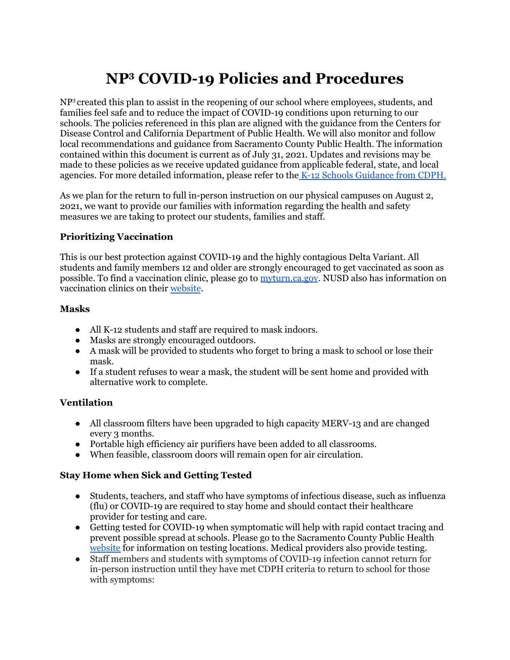# **NP<sup>3</sup> COVID-19 Policies and Procedures**

NP<sup>3</sup> created this plan to assist in the reopening of our school where employees, students, and families feel safe and to reduce the impact of COVID-19 conditions upon returning to our schools. The policies referenced in this plan are aligned with the guidance from the Centers for Disease Control and California Department of Public Health. We will also monitor and follow local recommendations and guidance from Sacramento County Public Health. The information contained within this document is current as of July 31, 2021. Updates and revisions may be made to these policies as we receive updated guidance from applicable federal, state, and local agencies. For more detailed information, please refer to the K-12 Schools [Guidance](https://www.cdph.ca.gov/Programs/CID/DCDC/Pages/COVID-19/K-12-Guidance-2021-22-School-Year.aspx) from CDPH.

As we plan for the return to full in-person instruction on our physical campuses on August 2, 2021, we want to provide our families with information regarding the health and safety measures we are taking to protect our students, families and staff.

# **Prioritizing Vaccination**

This is our best protection against COVID-19 and the highly contagious Delta Variant. All students and family members 12 and older are strongly encouraged to get vaccinated as soon as possible. To find a vaccination clinic, please go to [myturn.ca.gov](https://myturn.ca.gov/). NUSD also has information on vaccination clinics on their [website](https://natomasunified.org/covid-19-general-information/covid-19-vaccination/).

# **Masks**

- All K-12 students and staff are required to mask indoors.
- Masks are strongly encouraged outdoors.
- A mask will be provided to students who forget to bring a mask to school or lose their mask.
- If a student refuses to wear a mask, the student will be sent home and provided with alternative work to complete.

# **Ventilation**

- All classroom filters have been upgraded to high capacity MERV-13 and are changed every 3 months.
- Portable high efficiency air purifiers have been added to all classrooms.
- When feasible, classroom doors will remain open for air circulation.

# **Stay Home when Sick and Getting Tested**

- Students, teachers, and staff who have symptoms of infectious disease, such as influenza (flu) or COVID-19 are required to stay home and should contact their healthcare provider for testing and care.
- Getting tested for COVID-19 when symptomatic will help with rapid contact tracing and prevent possible spread at schools. Please go to the Sacramento County Public Health [website](https://www.saccounty.net/COVID-19/Pages/Symptom-Screening_MobileTestingSite.aspx) for information on testing locations. Medical providers also provide testing.
- Staff members and students with symptoms of COVID-19 infection cannot return for in-person instruction until they have met CDPH criteria to return to school for those with symptoms: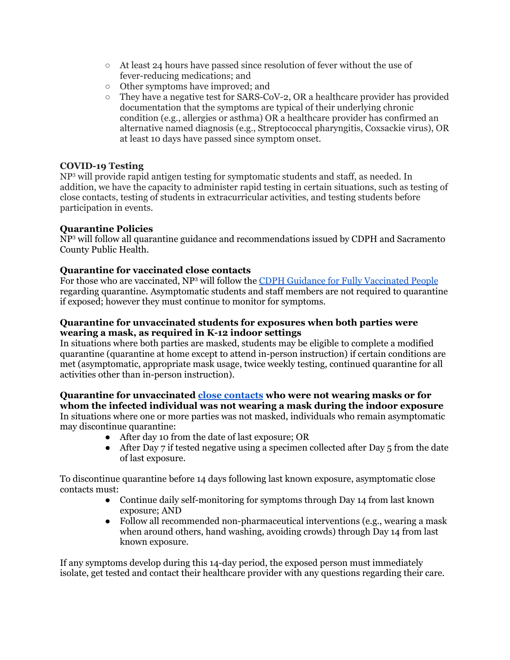- At least 24 hours have passed since resolution of fever without the use of fever-reducing medications; and
- Other symptoms have improved; and
- They have a negative test for SARS-CoV-2, OR a healthcare provider has provided documentation that the symptoms are typical of their underlying chronic condition (e.g., allergies or asthma) OR a healthcare provider has confirmed an alternative named diagnosis (e.g., Streptococcal pharyngitis, Coxsackie virus), OR at least 10 days have passed since symptom onset.

#### **COVID-19 Testing**

NP <sup>3</sup> will provide rapid antigen testing for symptomatic students and staff, as needed. In addition, we have the capacity to administer rapid testing in certain situations, such as testing of close contacts, testing of students in extracurricular activities, and testing students before participation in events.

# **Quarantine Policies**

NP <sup>3</sup> will follow all quarantine guidance and recommendations issued by CDPH and Sacramento County Public Health.

#### **Quarantine for vaccinated close contacts**

For those who are vaccinated, NP<sup>3</sup> will follow the **CDPH** Guidance for Fully [Vaccinated](https://www.cdph.ca.gov/Programs/CID/DCDC/Pages/COVID-19/COVID-19-Public-Health-Recommendations-for-Fully-Vaccinated-People.aspx) People regarding quarantine. Asymptomatic students and staff members are not required to quarantine if exposed; however they must continue to monitor for symptoms.

#### **Quarantine for unvaccinated students for exposures when both parties were wearing a mask, as required in K-12 indoor settings**

In situations where both parties are masked, students may be eligible to complete a modified quarantine (quarantine at home except to attend in-person instruction) if certain conditions are met (asymptomatic, appropriate mask usage, twice weekly testing, continued quarantine for all activities other than in-person instruction).

#### **Quarantine for unvaccinated close [contacts](https://www.cdph.ca.gov/Programs/CID/DCDC/Pages/COVID-19/COVID-19-Quarantine.aspx) who were not wearing masks or for whom the infected individual was not wearing a mask during the indoor exposure**

In situations where one or more parties was not masked, individuals who remain asymptomatic may discontinue quarantine:

- After day 10 from the date of last exposure; OR
- After Day 7 if tested negative using a specimen collected after Day  $5$  from the date of last exposure.

To discontinue quarantine before 14 days following last known exposure, asymptomatic close contacts must:

- Continue daily self-monitoring for symptoms through Day 14 from last known exposure; AND
- Follow all recommended non-pharmaceutical interventions (e.g., wearing a mask when around others, hand washing, avoiding crowds) through Day 14 from last known exposure.

If any symptoms develop during this 14-day period, the exposed person must immediately isolate, get tested and contact their healthcare provider with any questions regarding their care.